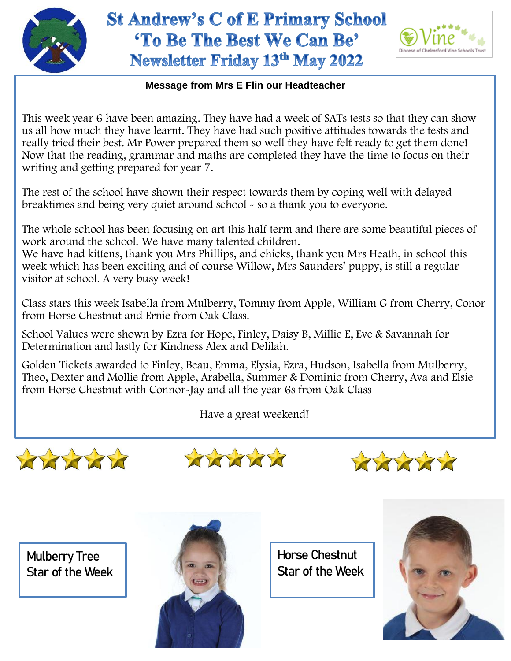

## **St Andrew's C of E Primary School** 'To Be The Best We Can Be' Newsletter Friday 13th May 2022



## **Message from Mrs E Flin our Headteacher**

This week year 6 have been amazing. They have had a week of SATs tests so that they can show us all how much they have learnt. They have had such positive attitudes towards the tests and really tried their best. Mr Power prepared them so well they have felt ready to get them done! Now that the reading, grammar and maths are completed they have the time to focus on their writing and getting prepared for year 7.

The rest of the school have shown their respect towards them by coping well with delayed breaktimes and being very quiet around school - so a thank you to everyone.

The whole school has been focusing on art this half term and there are some beautiful pieces of work around the school. We have many talented children.

 We have had kittens, thank you Mrs Phillips, and chicks, thank you Mrs Heath, in school this week which has been exciting and of course Willow, Mrs Saunders' puppy, is still a regular visitor at school. A very busy week!

Class stars this week Isabella from Mulberry, Tommy from Apple, William G from Cherry, Conor from Horse Chestnut and Ernie from Oak Class.

School Values were shown by Ezra for Hope, Finley, Daisy B, Millie E, Eve & Savannah for Determination and lastly for Kindness Alex and Delilah.

Golden Tickets awarded to Finley, Beau, Emma, Elysia, Ezra, Hudson, Isabella from Mulberry, Theo, Dexter and Mollie from Apple, Arabella, Summer & Dominic from Cherry, Ava and Elsie from Horse Chestnut with Connor-Jay and all the year 6s from Oak Class

Have a great weekend!







Mulberry Tree Star of the Week



Horse Chestnut Star of the Week

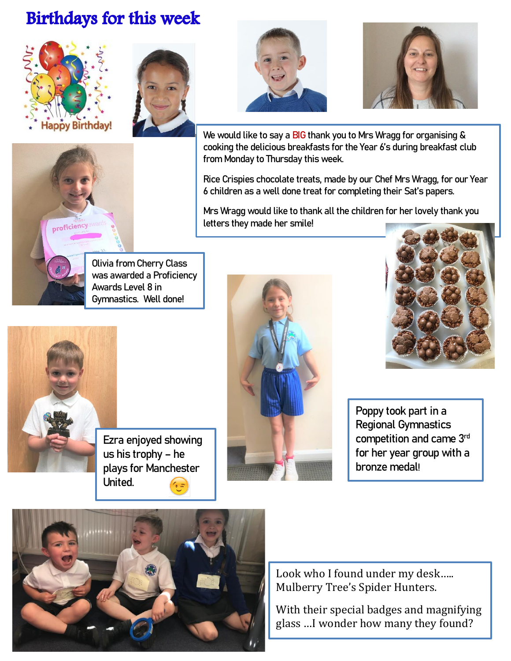## **Birthdays for this week**









We would like to say a BIG thank you to Mrs Wragg for organising & cooking the delicious breakfasts for the Year 6's during breakfast club from Monday to Thursday this week.

Rice Crispies chocolate treats, made by our Chef Mrs Wragg, for our Year 6 children as a well done treat for completing their Sat's papers.

Mrs Wragg would like to thank all the children for her lovely thank you letters they made her smile!



Olivia from Cherry Class was awarded a Proficiency Awards Level 8 in Gymnastics. Well done!

Ezra enjoyed showing us his trophy – he plays for Manchester





Poppy took part in a Regional Gymnastics competition and came 3rd for her year group with a bronze medal!



United.

Look who I found under my desk..... Mulberry Tree's Spider Hunters.

With their special badges and magnifying glass …I wonder how many they found?